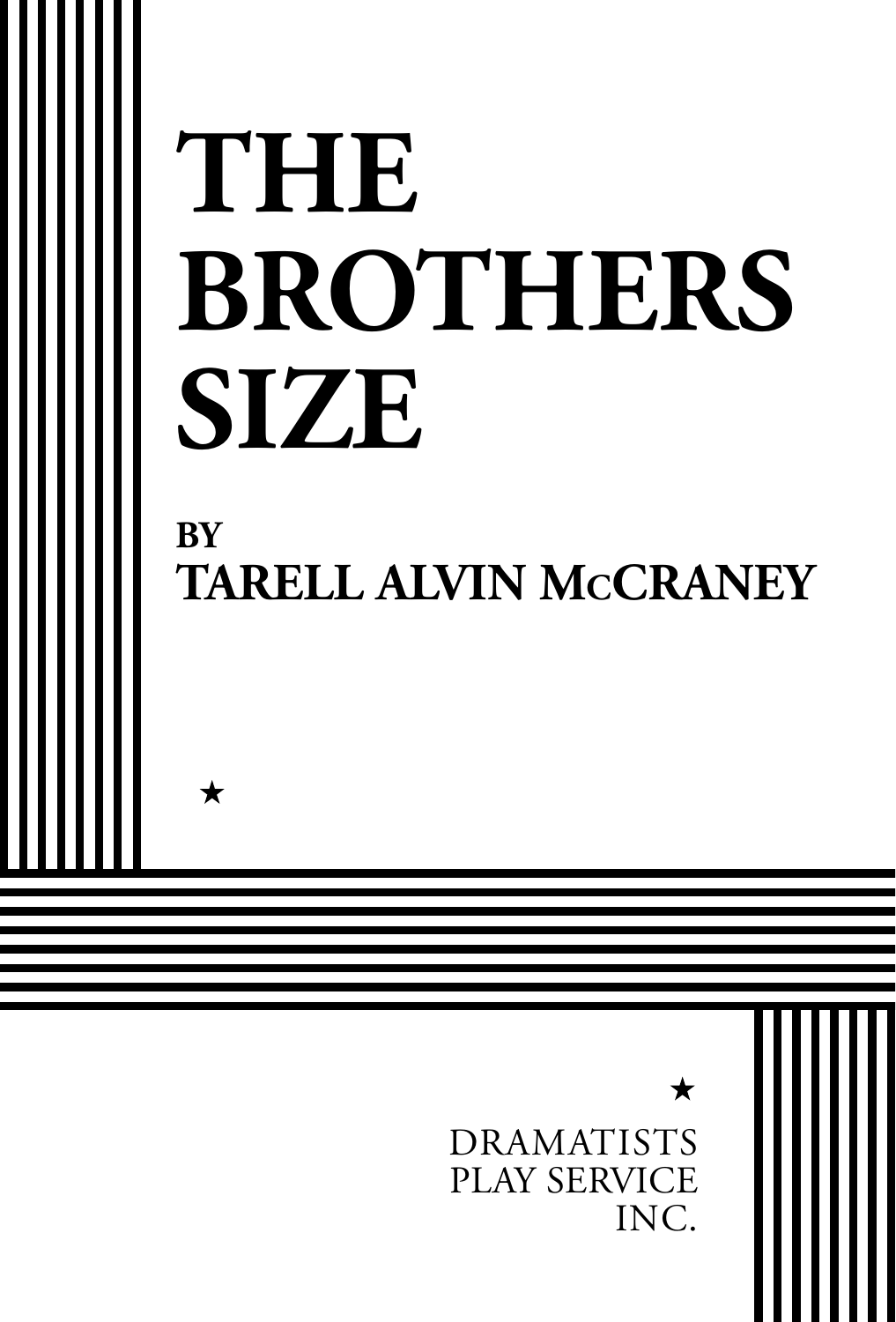# **THE BROTHERS SIZE BY TARELL ALVIN McCRANEY**  $\bigstar$

 $\bigstar$ 

DRAMATISTS PLAY SERVICE INC.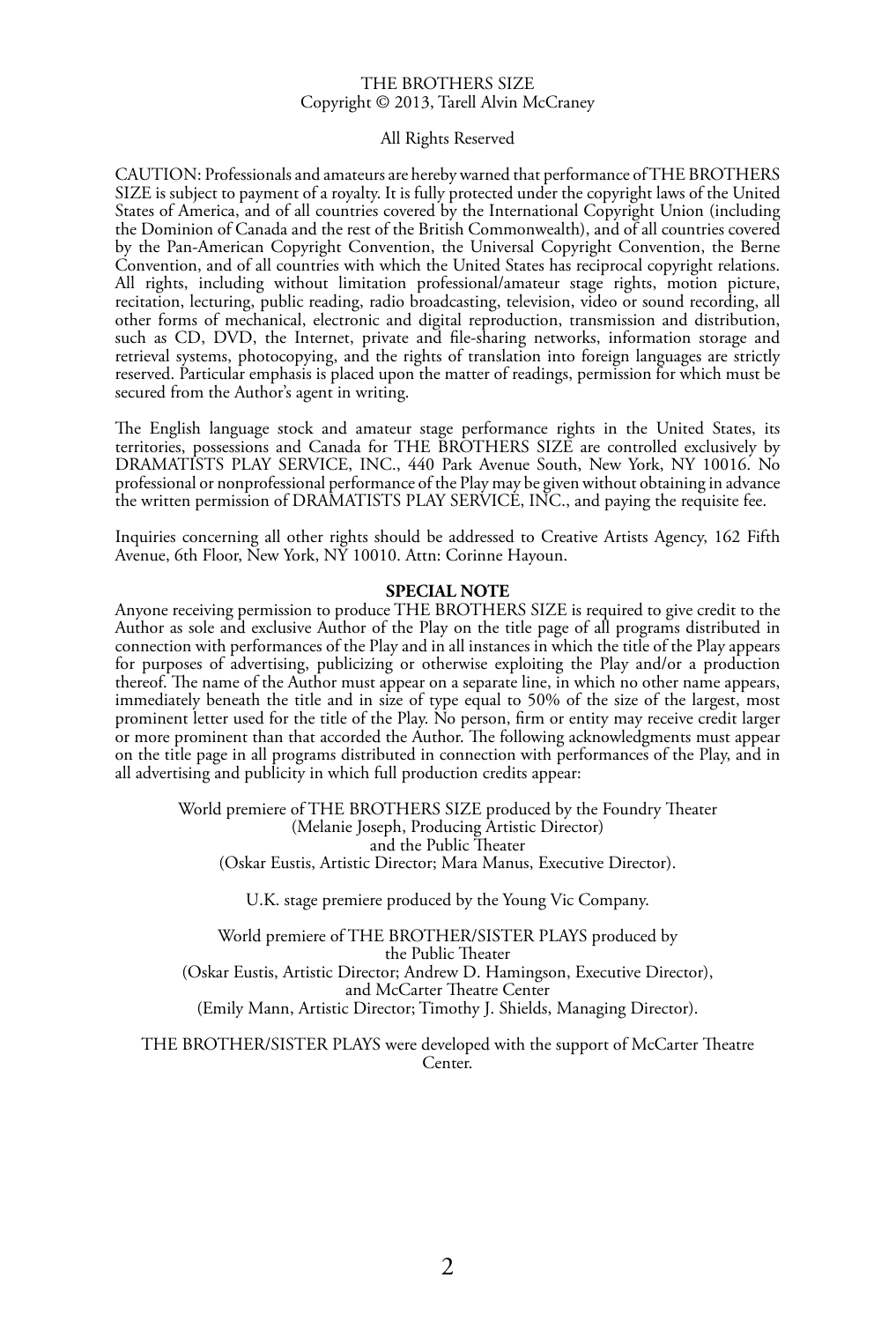#### THE BROTHERS SIZE Copyright © 2013, Tarell Alvin McCraney

### All Rights Reserved

CAUTION: Professionals and amateurs are hereby warned that performance of THE BROTHERS SIZE is subject to payment of a royalty. It is fully protected under the copyright laws of the United States of America, and of all countries covered by the International Copyright Union (including the Dominion of Canada and the rest of the British Commonwealth), and of all countries covered by the Pan-American Copyright Convention, the Universal Copyright Convention, the Berne Convention, and of all countries with which the United States has reciprocal copyright relations. All rights, including without limitation professional/amateur stage rights, motion picture, recitation, lecturing, public reading, radio broadcasting, television, video or sound recording, all other forms of mechanical, electronic and digital reproduction, transmission and distribution, such as CD, DVD, the Internet, private and file-sharing networks, information storage and retrieval systems, photocopying, and the rights of translation into foreign languages are strictly reserved. Particular emphasis is placed upon the matter of readings, permission for which must be secured from the Author's agent in writing.

The English language stock and amateur stage performance rights in the United States, its territories, possessions and Canada for THE BROTHERS SIZE are controlled exclusively by DRAMATISTS PLAY SERVICE, INC., 440 Park Avenue South, New York, NY 10016. No professional or nonprofessional performance of the Play may be given without obtaining in advance the written permission of DRAMATISTS PLAY SERVICE, INC., and paying the requisite fee.

Inquiries concerning all other rights should be addressed to Creative Artists Agency, 162 Fifth Avenue, 6th Floor, New York, NY 10010. Attn: Corinne Hayoun.

#### **SPECIAL NOTE**

Anyone receiving permission to produce THE BROTHERS SIZE is required to give credit to the Author as sole and exclusive Author of the Play on the title page of all programs distributed in connection with performances of the Play and in all instances in which the title of the Play appears for purposes of advertising, publicizing or otherwise exploiting the Play and/or a production thereof. The name of the Author must appear on a separate line, in which no other name appears, immediately beneath the title and in size of type equal to 50% of the size of the largest, most prominent letter used for the title of the Play. No person, firm or entity may receive credit larger or more prominent than that accorded the Author. The following acknowledgments must appear on the title page in all programs distributed in connection with performances of the Play, and in all advertising and publicity in which full production credits appear:

World premiere of THE BROTHERS SIZE produced by the Foundry Theater (Melanie Joseph, Producing Artistic Director) and the Public Theater (Oskar Eustis, Artistic Director; Mara Manus, Executive Director).

U.K. stage premiere produced by the Young Vic Company.

World premiere of THE BROTHER/SISTER PLAYS produced by the Public Theater (Oskar Eustis, Artistic Director; Andrew D. Hamingson, Executive Director), and McCarter Theatre Center (Emily Mann, Artistic Director; Timothy J. Shields, Managing Director).

THE BROTHER/SISTER PLAYS were developed with the support of McCarter Theatre Center.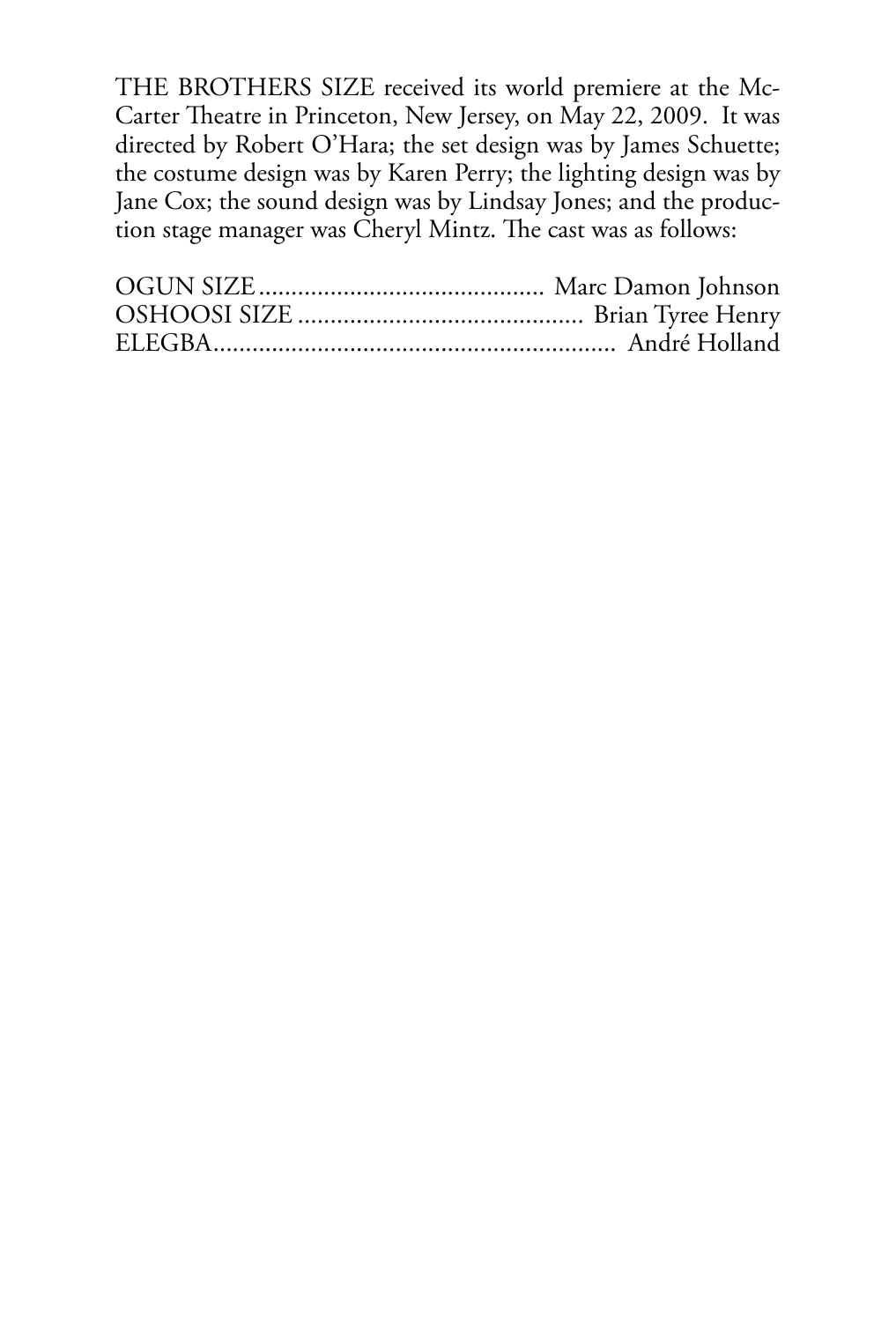THE BROTHERS SIZE received its world premiere at the Mc-Carter Theatre in Princeton, New Jersey, on May 22, 2009. It was directed by Robert O'Hara; the set design was by James Schuette; the costume design was by Karen Perry; the lighting design was by Jane Cox; the sound design was by Lindsay Jones; and the production stage manager was Cheryl Mintz. The cast was as follows: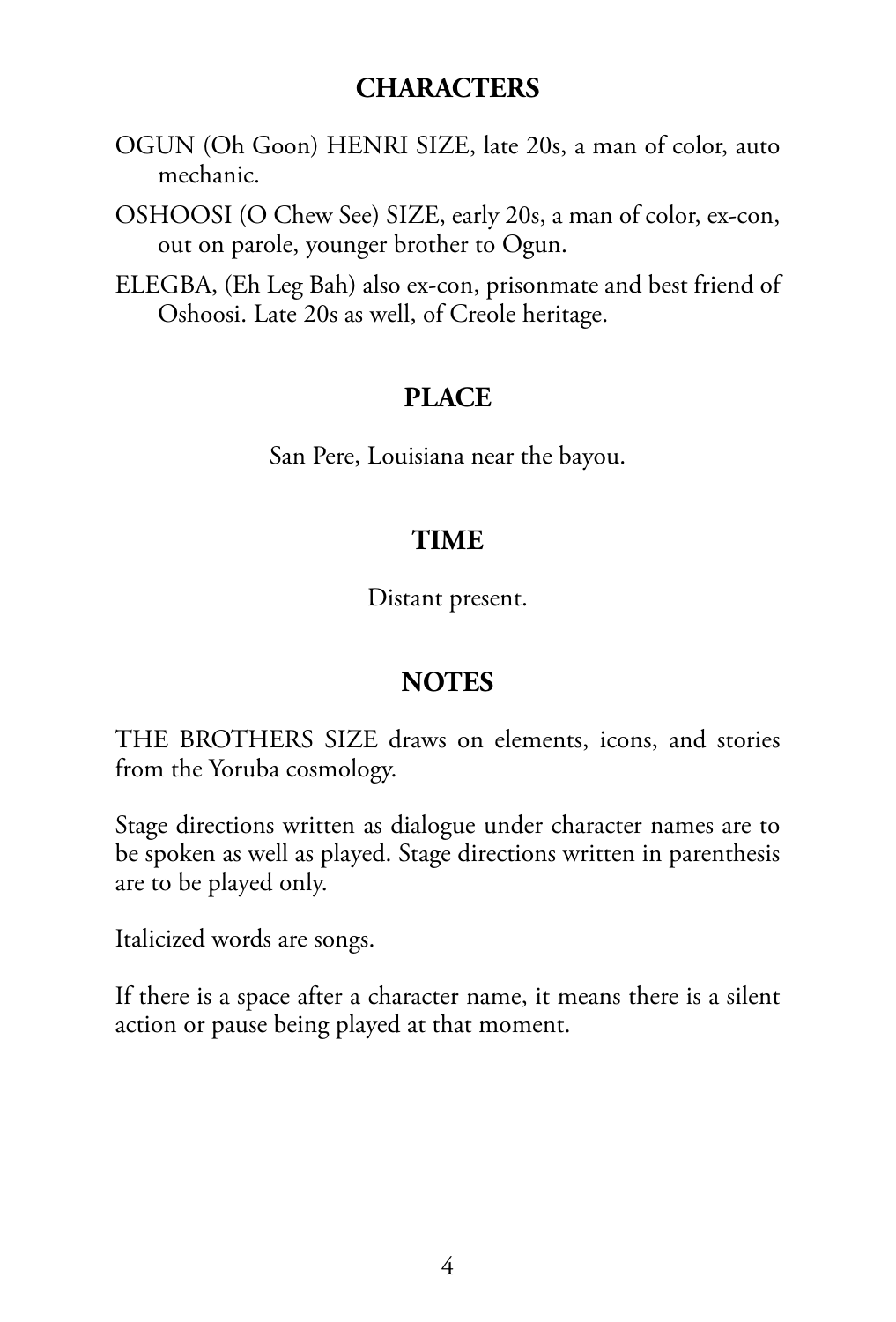### **CHARACTERS**

- OGUN (Oh Goon) HENRI SIZE, late 20s, a man of color, auto mechanic.
- OSHOOSI (O Chew See) SIZE, early 20s, a man of color, ex-con, out on parole, younger brother to Ogun.
- ELEGBA, (Eh Leg Bah) also ex-con, prisonmate and best friend of Oshoosi. Late 20s as well, of Creole heritage.

### **PLACE**

San Pere, Louisiana near the bayou.

### **TIME**

Distant present.

## **NOTES**

THE BROTHERS SIZE draws on elements, icons, and stories from the Yoruba cosmology.

Stage directions written as dialogue under character names are to be spoken as well as played. Stage directions written in parenthesis are to be played only.

Italicized words are songs.

If there is a space after a character name, it means there is a silent action or pause being played at that moment.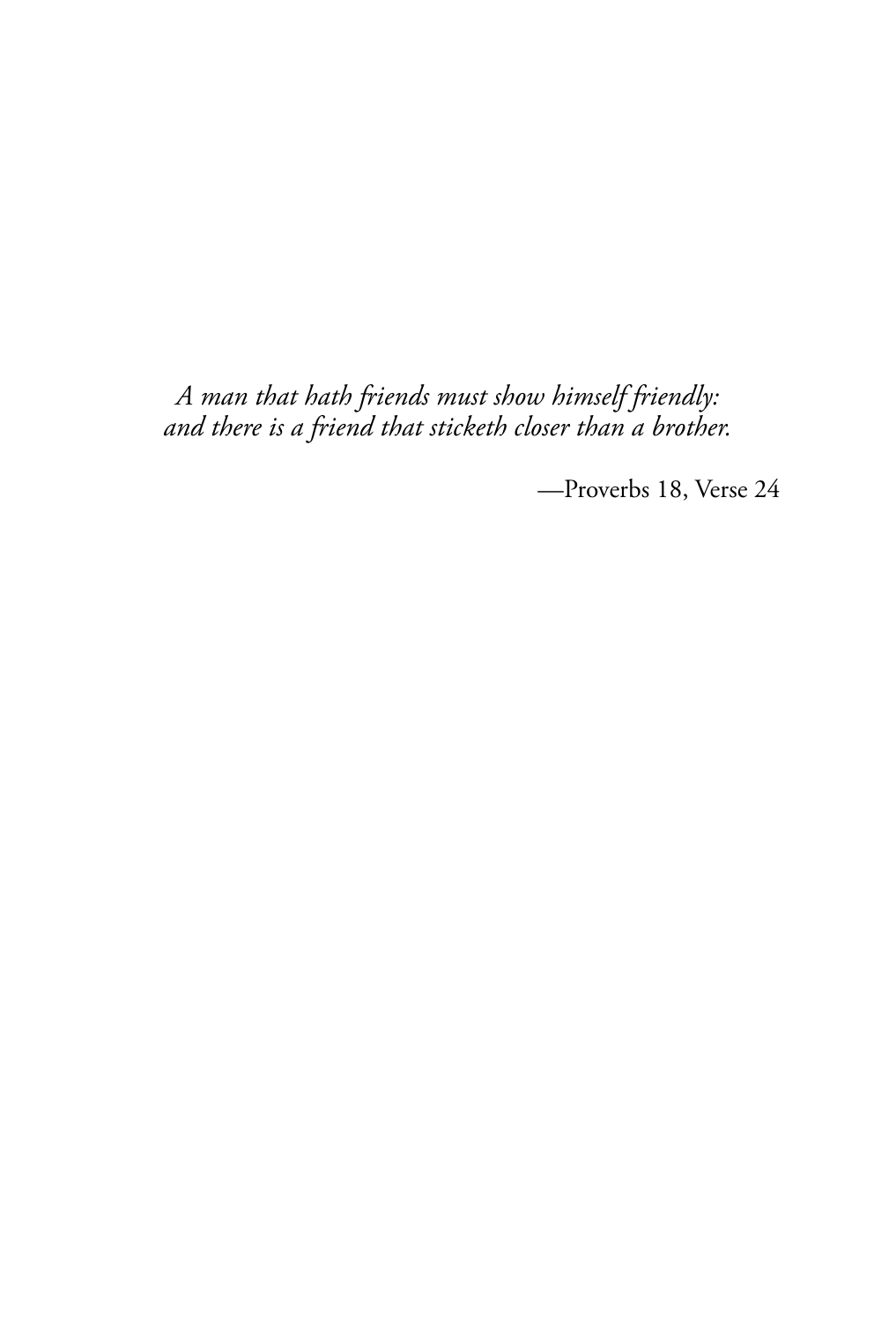*A man that hath friends must show himself friendly: and there is a friend that sticketh closer than a brother.*

—Proverbs 18, Verse 24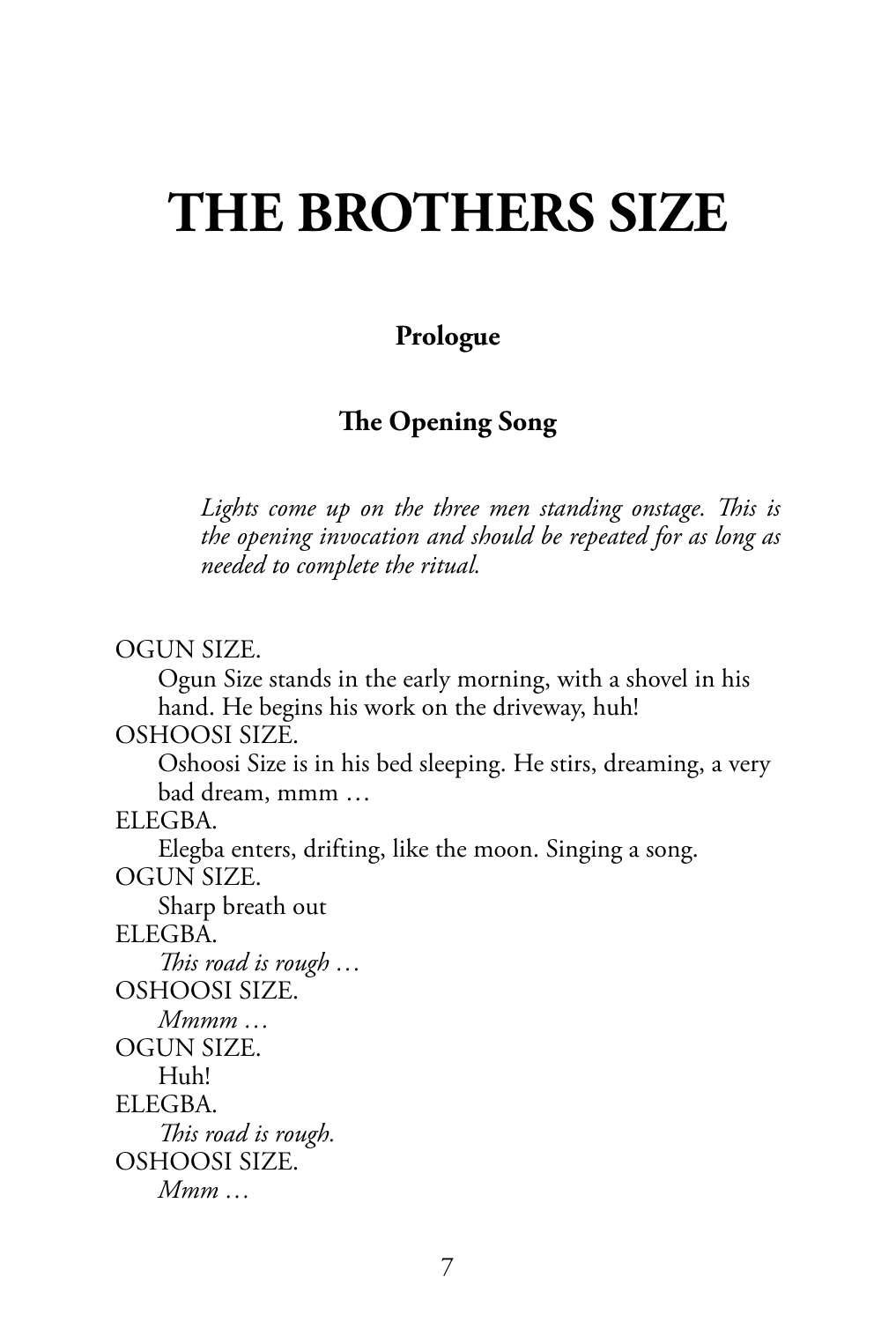# **THE BROTHERS SIZE**

### **Prologue**

### **The Opening Song**

*Lights come up on the three men standing onstage. This is the opening invocation and should be repeated for as long as needed to complete the ritual.*

OGUN SIZE.

Ogun Size stands in the early morning, with a shovel in his hand. He begins his work on the driveway, huh!

OSHOOSI SIZE.

Oshoosi Size is in his bed sleeping. He stirs, dreaming, a very bad dream, mmm …

ELEGBA.

Elegba enters, drifting, like the moon. Singing a song. OGUN SIZE.

Sharp breath out ELEGBA. *This road is rough …*  OSHOOSI SIZE. *Mmmm …*  OGUN SIZE. Huh! ELEGBA. *This road is rough.* OSHOOSI SIZE. *Mmm …*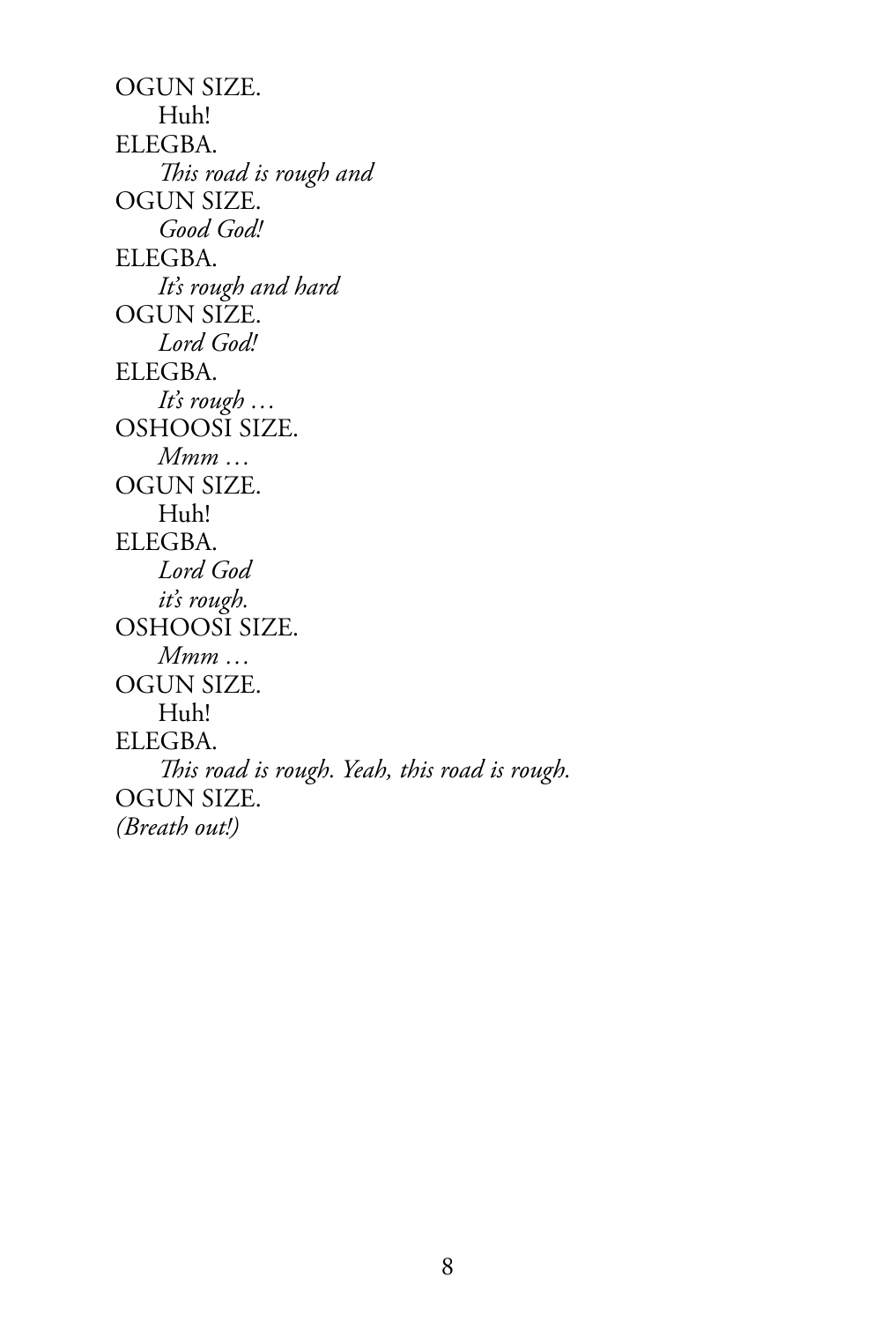OGUN SIZE. Huh! ELEGBA. *This road is rough and*  OGUN SIZE. *Good God!*  ELEGBA. *It's rough and hard* OGUN SIZE. *Lord God!*  ELEGBA. *It's rough …*  OSHOOSI SIZE. *Mmm …*  OGUN SIZE. Huh! ELEGBA. *Lord God it's rough.* OSHOOSI SIZE. *Mmm …*  OGUN SIZE. Huh! ELEGBA. *This road is rough. Yeah, this road is rough.* OGUN SIZE. *(Breath out!)*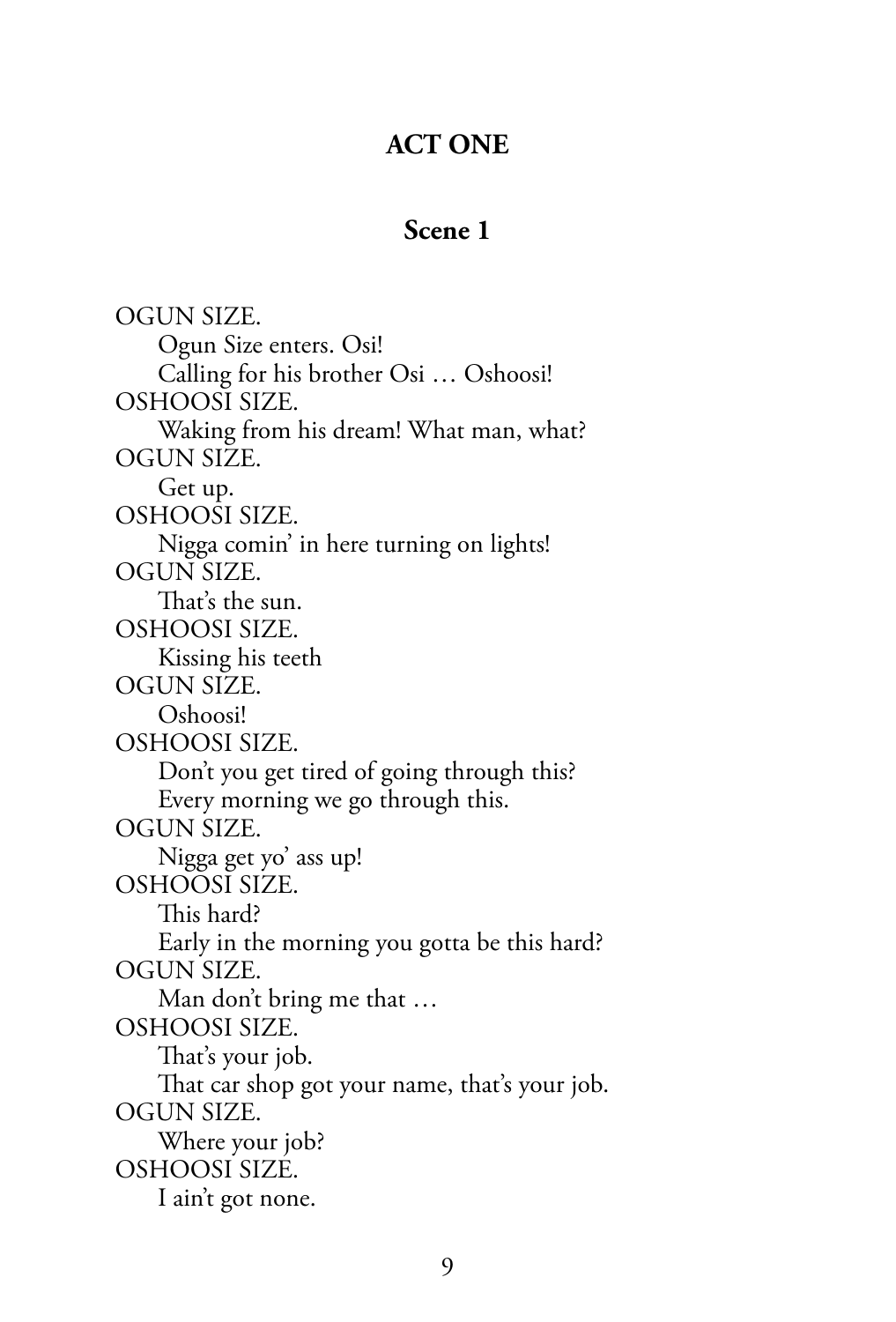### **ACT ONE**

### **Scene 1**

OGUN SIZE. Ogun Size enters. Osi! Calling for his brother Osi … Oshoosi! OSHOOSI SIZE. Waking from his dream! What man, what? OGUN SIZE. Get up. OSHOOSI SIZE. Nigga comin' in here turning on lights! OGUN SIZE. That's the sun. OSHOOSI SIZE. Kissing his teeth OGUN SIZE. Oshoosi! OSHOOSI SIZE. Don't you get tired of going through this? Every morning we go through this. OGUN SIZE. Nigga get yo' ass up! OSHOOSI SIZE. This hard? Early in the morning you gotta be this hard? OGUN SIZE. Man don't bring me that … OSHOOSI SIZE. That's your job. That car shop got your name, that's your job. OGUN SIZE. Where your job? OSHOOSI SIZE. I ain't got none.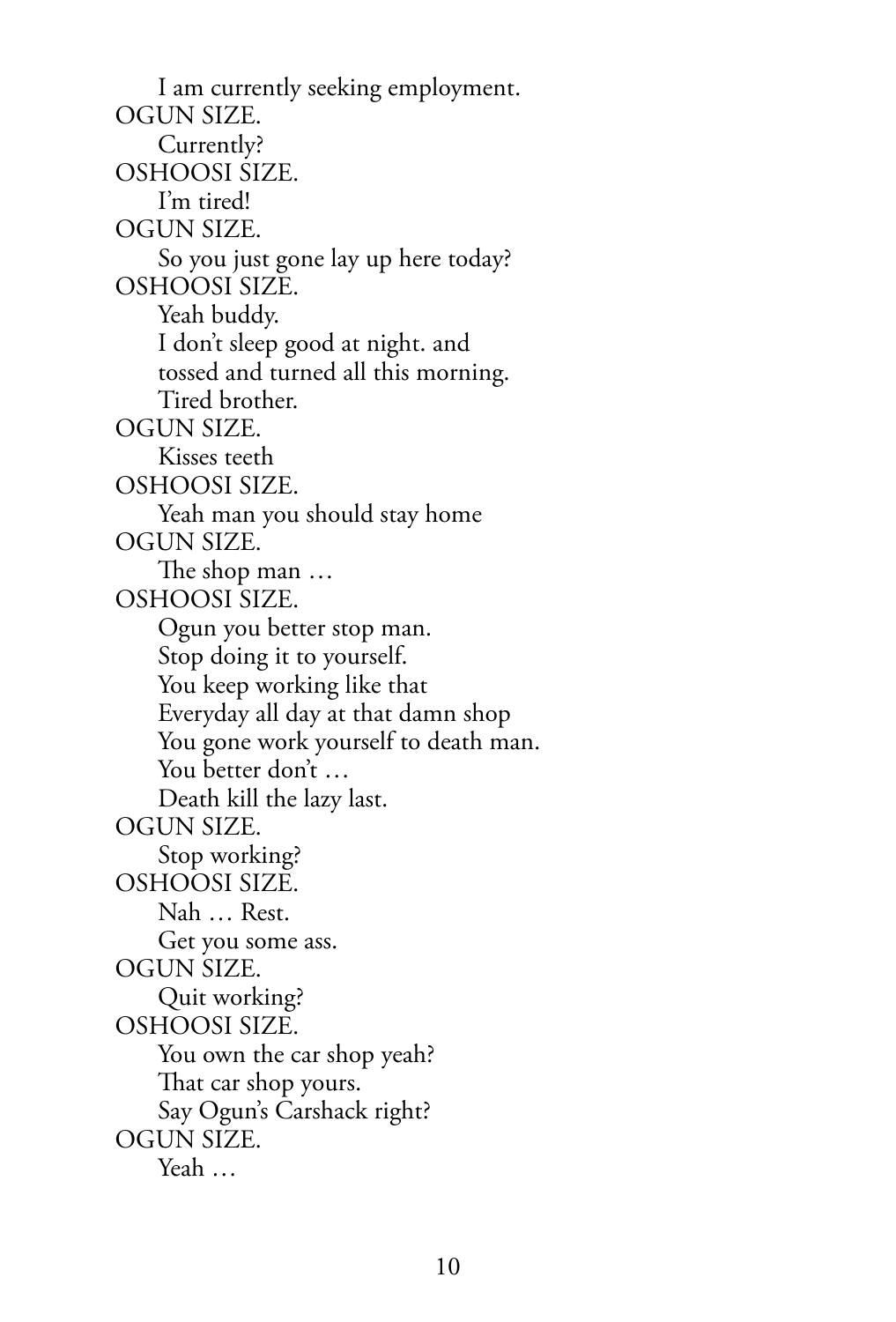I am currently seeking employment. OGUN SIZE. Currently? OSHOOSI SIZE. I'm tired! OGUN SIZE. So you just gone lay up here today? OSHOOSI SIZE. Yeah buddy. I don't sleep good at night. and tossed and turned all this morning. Tired brother. OGUN SIZE. Kisses teeth OSHOOSI SIZE. Yeah man you should stay home OGUN SIZE. The shop man … OSHOOSI SIZE. Ogun you better stop man. Stop doing it to yourself. You keep working like that Everyday all day at that damn shop You gone work yourself to death man. You better don't … Death kill the lazy last. OGUN SIZE. Stop working? OSHOOSI SIZE. Nah … Rest. Get you some ass. OGUN SIZE. Quit working? OSHOOSI SIZE. You own the car shop yeah? That car shop yours. Say Ogun's Carshack right? OGUN SIZE. Yeah …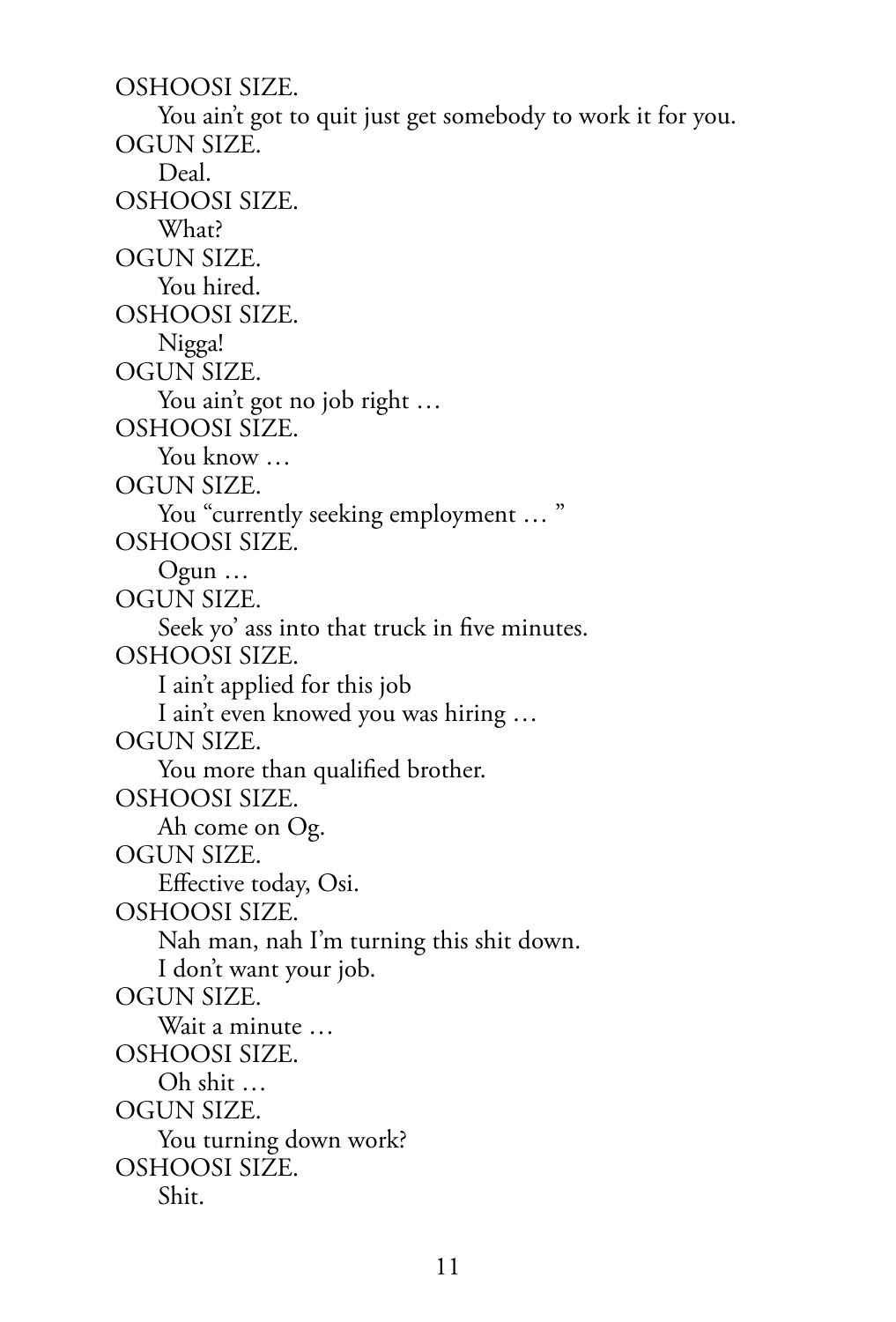OSHOOSI SIZE. You ain't got to quit just get somebody to work it for you. OGUN SIZE. Deal. OSHOOSI SIZE. What? OGUN SIZE. You hired. OSHOOSI SIZE. Nigga! OGUN SIZE. You ain't got no job right … OSHOOSI SIZE. You know ... OGUN SIZE. You "currently seeking employment ... " OSHOOSI SIZE. Ogun … OGUN SIZE. Seek yo' ass into that truck in five minutes. OSHOOSI SIZE. I ain't applied for this job I ain't even knowed you was hiring … OGUN SIZE. You more than qualified brother. OSHOOSI SIZE. Ah come on Og. OGUN SIZE. Effective today, Osi. OSHOOSI SIZE. Nah man, nah I'm turning this shit down. I don't want your job. OGUN SIZE. Wait a minute … OSHOOSI SIZE. Oh shit … OGUN SIZE. You turning down work? OSHOOSI SIZE. Shit.